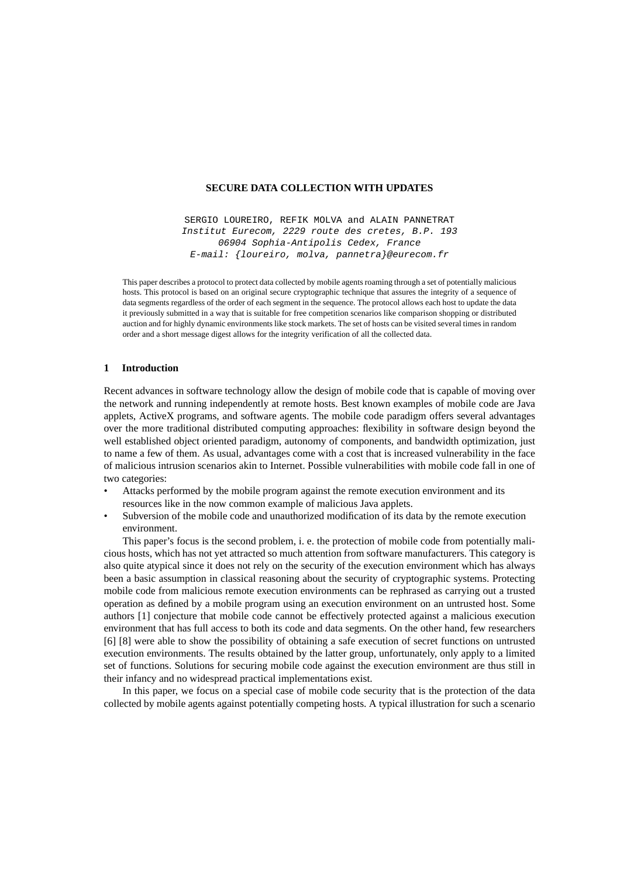# **SECURE DATA COLLECTION WITH UPDATES**

SERGIO LOUREIRO, REFIK MOLVA and ALAIN PANNETRAT Institut Eurecom, 2229 route des cretes, B.P. 193 06904 Sophia-Antipolis Cedex, France E-mail: {loureiro, molva, pannetra}@eurecom.fr

This paper describes a protocol to protect data collected by mobile agents roaming through a set of potentially malicious hosts. This protocol is based on an original secure cryptographic technique that assures the integrity of a sequence of data segments regardless of the order of each segment in the sequence. The protocol allows each host to update the data it previously submitted in a way that is suitable for free competition scenarios like comparison shopping or distributed auction and for highly dynamic environments like stock markets. The set of hosts can be visited several times in random order and a short message digest allows for the integrity verification of all the collected data.

# **1 Introduction**

Recent advances in software technology allow the design of mobile code that is capable of moving over the network and running independently at remote hosts. Best known examples of mobile code are Java applets, ActiveX programs, and software agents. The mobile code paradigm offers several advantages over the more traditional distributed computing approaches: flexibility in software design beyond the well established object oriented paradigm, autonomy of components, and bandwidth optimization, just to name a few of them. As usual, advantages come with a cost that is increased vulnerability in the face of malicious intrusion scenarios akin to Internet. Possible vulnerabilities with mobile code fall in one of two categories:

- Attacks performed by the mobile program against the remote execution environment and its resources like in the now common example of malicious Java applets.
- Subversion of the mobile code and unauthorized modification of its data by the remote execution environment.

This paper's focus is the second problem, i. e. the protection of mobile code from potentially malicious hosts, which has not yet attracted so much attention from software manufacturers. This category is also quite atypical since it does not rely on the security of the execution environment which has always been a basic assumption in classical reasoning about the security of cryptographic systems. Protecting mobile code from malicious remote execution environments can be rephrased as carrying out a trusted operation as defined by a mobile program using an execution environment on an untrusted host. Some authors [1] conjecture that mobile code cannot be effectively protected against a malicious execution environment that has full access to both its code and data segments. On the other hand, few researchers [6] [8] were able to show the possibility of obtaining a safe execution of secret functions on untrusted execution environments. The results obtained by the latter group, unfortunately, only apply to a limited set of functions. Solutions for securing mobile code against the execution environment are thus still in their infancy and no widespread practical implementations exist.

In this paper, we focus on a special case of mobile code security that is the protection of the data collected by mobile agents against potentially competing hosts. A typical illustration for such a scenario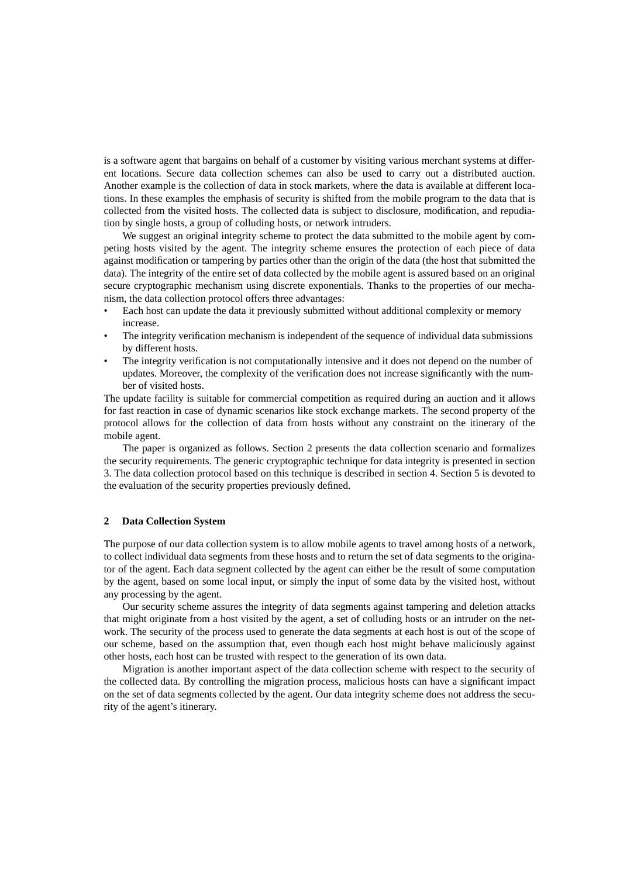is a software agent that bargains on behalf of a customer by visiting various merchant systems at different locations. Secure data collection schemes can also be used to carry out a distributed auction. Another example is the collection of data in stock markets, where the data is available at different locations. In these examples the emphasis of security is shifted from the mobile program to the data that is collected from the visited hosts. The collected data is subject to disclosure, modification, and repudiation by single hosts, a group of colluding hosts, or network intruders.

We suggest an original integrity scheme to protect the data submitted to the mobile agent by competing hosts visited by the agent. The integrity scheme ensures the protection of each piece of data against modification or tampering by parties other than the origin of the data (the host that submitted the data). The integrity of the entire set of data collected by the mobile agent is assured based on an original secure cryptographic mechanism using discrete exponentials. Thanks to the properties of our mechanism, the data collection protocol offers three advantages:

- Each host can update the data it previously submitted without additional complexity or memory increase.
- The integrity verification mechanism is independent of the sequence of individual data submissions by different hosts.
- The integrity verification is not computationally intensive and it does not depend on the number of updates. Moreover, the complexity of the verification does not increase significantly with the number of visited hosts.

The update facility is suitable for commercial competition as required during an auction and it allows for fast reaction in case of dynamic scenarios like stock exchange markets. The second property of the protocol allows for the collection of data from hosts without any constraint on the itinerary of the mobile agent.

The paper is organized as follows. Section 2 presents the data collection scenario and formalizes the security requirements. The generic cryptographic technique for data integrity is presented in section 3. The data collection protocol based on this technique is described in section 4. Section 5 is devoted to the evaluation of the security properties previously defined.

# **2 Data Collection System**

The purpose of our data collection system is to allow mobile agents to travel among hosts of a network, to collect individual data segments from these hosts and to return the set of data segments to the originator of the agent. Each data segment collected by the agent can either be the result of some computation by the agent, based on some local input, or simply the input of some data by the visited host, without any processing by the agent.

Our security scheme assures the integrity of data segments against tampering and deletion attacks that might originate from a host visited by the agent, a set of colluding hosts or an intruder on the network. The security of the process used to generate the data segments at each host is out of the scope of our scheme, based on the assumption that, even though each host might behave maliciously against other hosts, each host can be trusted with respect to the generation of its own data.

Migration is another important aspect of the data collection scheme with respect to the security of the collected data. By controlling the migration process, malicious hosts can have a significant impact on the set of data segments collected by the agent. Our data integrity scheme does not address the security of the agent's itinerary.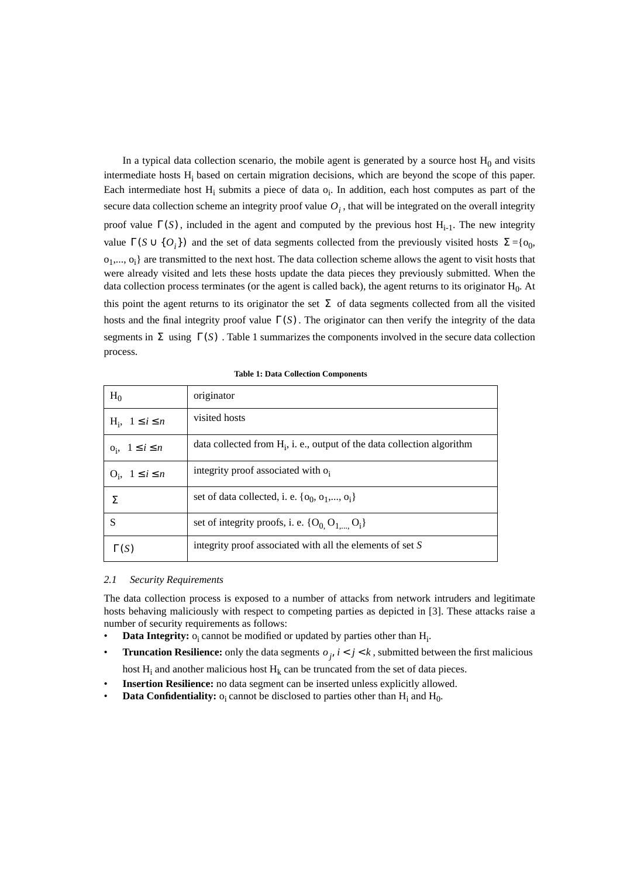In a typical data collection scenario, the mobile agent is generated by a source host  $H_0$  and visits intermediate hosts  $H_i$  based on certain migration decisions, which are beyond the scope of this paper. Each intermediate host  $H_i$  submits a piece of data  $o_i$ . In addition, each host computes as part of the secure data collection scheme an integrity proof value  $O<sub>i</sub>$ , that will be integrated on the overall integrity proof value  $\Gamma(S)$ , included in the agent and computed by the previous host  $H_{i-1}$ . The new integrity value  $\Gamma(S \cup \{O_i\})$  and the set of data segments collected from the previously visited hosts  $\Sigma = \{O_0, O_i\}$  $o_1$ ,...,  $o_i$ } are transmitted to the next host. The data collection scheme allows the agent to visit hosts that were already visited and lets these hosts update the data pieces they previously submitted. When the data collection process terminates (or the agent is called back), the agent returns to its originator  $H_0$ . At this point the agent returns to its originator the set  $\Sigma$  of data segments collected from all the visited hosts and the final integrity proof value  $\Gamma(S)$ . The originator can then verify the integrity of the data segments in  $\Sigma$  using  $\Gamma(S)$ . [Table 1 s](#page-2-0)ummarizes the components involved in the secure data collection process.

<span id="page-2-0"></span>

| $H_0$                     | originator                                                                 |
|---------------------------|----------------------------------------------------------------------------|
| $H_i$ , $1 \le i \le n$   | visited hosts                                                              |
| $o_i$ , $1 \leq i \leq n$ | data collected from $H_i$ , i. e., output of the data collection algorithm |
| $O_i$ , $1 \leq i \leq n$ | integrity proof associated with o.                                         |
| Σ.                        | set of data collected, i. e. $\{o_0, o_1, \ldots, o_i\}$                   |
| S                         | set of integrity proofs, i. e. $\{O_0, O_1, \ldots, O_i\}$                 |
| $\Gamma(S)$               | integrity proof associated with all the elements of set S                  |

#### **Table 1: Data Collection Components**

#### <span id="page-2-1"></span>*2.1 Security Requirements*

The data collection process is exposed to a number of attacks from network intruders and legitimate hosts behaving maliciously with respect to competing parties as depicted in [3]. These attacks raise a number of security requirements as follows:

- **Data Integrity:**  $o_i$  cannot be modified or updated by parties other than  $H_i$ .
- **Truncation Resilience:** only the data segments  $o_j$ ,  $i < j < k$ , submitted between the first malicious

host  $H_i$  and another malicious host  $H_k$  can be truncated from the set of data pieces.

- **Insertion Resilience:** no data segment can be inserted unless explicitly allowed.
- **Data Confidentiality:**  $o_i$  cannot be disclosed to parties other than  $H_i$  and  $H_0$ .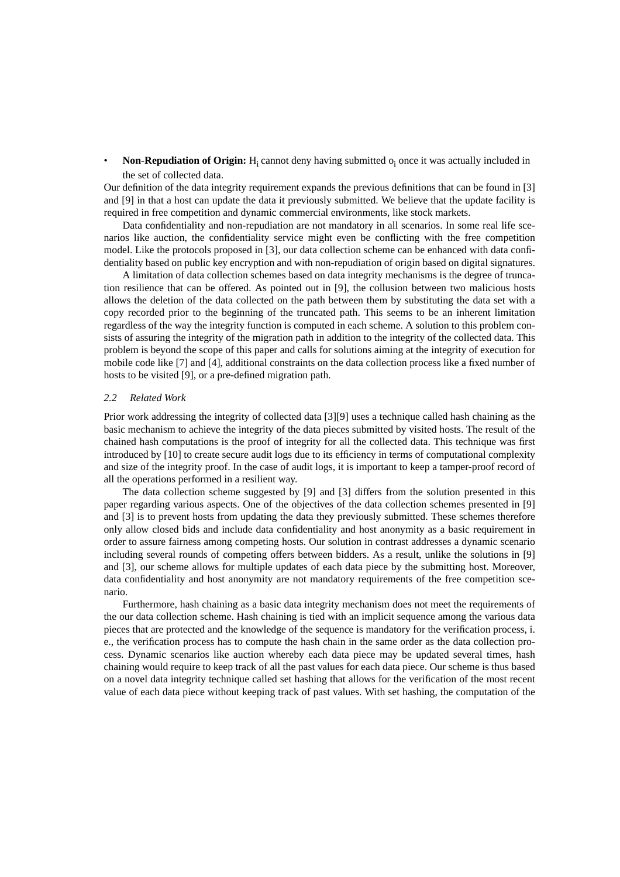• **Non-Repudiation of Origin:** H<sub>i</sub> cannot deny having submitted  $o_i$  once it was actually included in the set of collected data.

Our definition of the data integrity requirement expands the previous definitions that can be found in [3] and [9] in that a host can update the data it previously submitted. We believe that the update facility is required in free competition and dynamic commercial environments, like stock markets.

Data confidentiality and non-repudiation are not mandatory in all scenarios. In some real life scenarios like auction, the confidentiality service might even be conflicting with the free competition model. Like the protocols proposed in [3], our data collection scheme can be enhanced with data confidentiality based on public key encryption and with non-repudiation of origin based on digital signatures.

A limitation of data collection schemes based on data integrity mechanisms is the degree of truncation resilience that can be offered. As pointed out in [9], the collusion between two malicious hosts allows the deletion of the data collected on the path between them by substituting the data set with a copy recorded prior to the beginning of the truncated path. This seems to be an inherent limitation regardless of the way the integrity function is computed in each scheme. A solution to this problem consists of assuring the integrity of the migration path in addition to the integrity of the collected data. This problem is beyond the scope of this paper and calls for solutions aiming at the integrity of execution for mobile code like [7] and [4], additional constraints on the data collection process like a fixed number of hosts to be visited [9], or a pre-defined migration path.

# *2.2 Related Work*

Prior work addressing the integrity of collected data [3][9] uses a technique called hash chaining as the basic mechanism to achieve the integrity of the data pieces submitted by visited hosts. The result of the chained hash computations is the proof of integrity for all the collected data. This technique was first introduced by [10] to create secure audit logs due to its efficiency in terms of computational complexity and size of the integrity proof. In the case of audit logs, it is important to keep a tamper-proof record of all the operations performed in a resilient way.

The data collection scheme suggested by [9] and [3] differs from the solution presented in this paper regarding various aspects. One of the objectives of the data collection schemes presented in [9] and [3] is to prevent hosts from updating the data they previously submitted. These schemes therefore only allow closed bids and include data confidentiality and host anonymity as a basic requirement in order to assure fairness among competing hosts. Our solution in contrast addresses a dynamic scenario including several rounds of competing offers between bidders. As a result, unlike the solutions in [9] and [3], our scheme allows for multiple updates of each data piece by the submitting host. Moreover, data confidentiality and host anonymity are not mandatory requirements of the free competition scenario.

Furthermore, hash chaining as a basic data integrity mechanism does not meet the requirements of the our data collection scheme. Hash chaining is tied with an implicit sequence among the various data pieces that are protected and the knowledge of the sequence is mandatory for the verification process, i. e., the verification process has to compute the hash chain in the same order as the data collection process. Dynamic scenarios like auction whereby each data piece may be updated several times, hash chaining would require to keep track of all the past values for each data piece. Our scheme is thus based on a novel data integrity technique called set hashing that allows for the verification of the most recent value of each data piece without keeping track of past values. With set hashing, the computation of the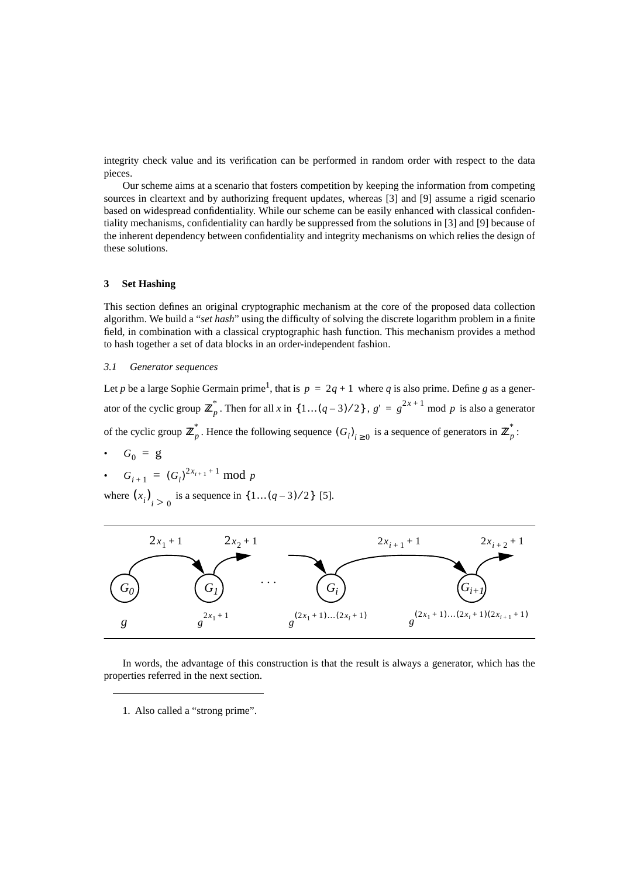integrity check value and its verification can be performed in random order with respect to the data pieces.

Our scheme aims at a scenario that fosters competition by keeping the information from competing sources in cleartext and by authorizing frequent updates, whereas [3] and [9] assume a rigid scenario based on widespread confidentiality. While our scheme can be easily enhanced with classical confidentiality mechanisms, confidentiality can hardly be suppressed from the solutions in [3] and [9] because of the inherent dependency between confidentiality and integrity mechanisms on which relies the design of these solutions.

# **3 Set Hashing**

This section defines an original cryptographic mechanism at the core of the proposed data collection algorithm. We build a "*set hash*" using the difficulty of solving the discrete logarithm problem in a finite field, in combination with a classical cryptographic hash function. This mechanism provides a method to hash together a set of data blocks in an order-independent fashion.

# *3.1 Generator sequences*

Let *p* be a large Sophie Germain prime<sup>1</sup>, that is  $p = 2q + 1$  where *q* is also prime. Define *g* as a generator of the cyclic group  $\mathbb{Z}_p^*$ . Then for all *x* in  $\{1 \dots (q-3)/2\}$ ,  $g' = g^{2x+1} \mod p$  is also a generator of the cyclic group  $\mathbb{Z}_p^*$ . Hence the following sequence  $(G_i)_{i \geq 0}$  is a sequence of generators in  $\mathbb{Z}_p^*$ :

•  $G_0 = g$ 

• 
$$
G_{i+1} = (G_i)^{2x_{i+1}+1} \mod p
$$

where  $(x_i)_{i>0}$  is a sequence in  $\{1...(q-3)/2\}$  [5].



In words, the advantage of this construction is that the result is always a generator, which has the properties referred in the next section.

1. Also called a "strong prime".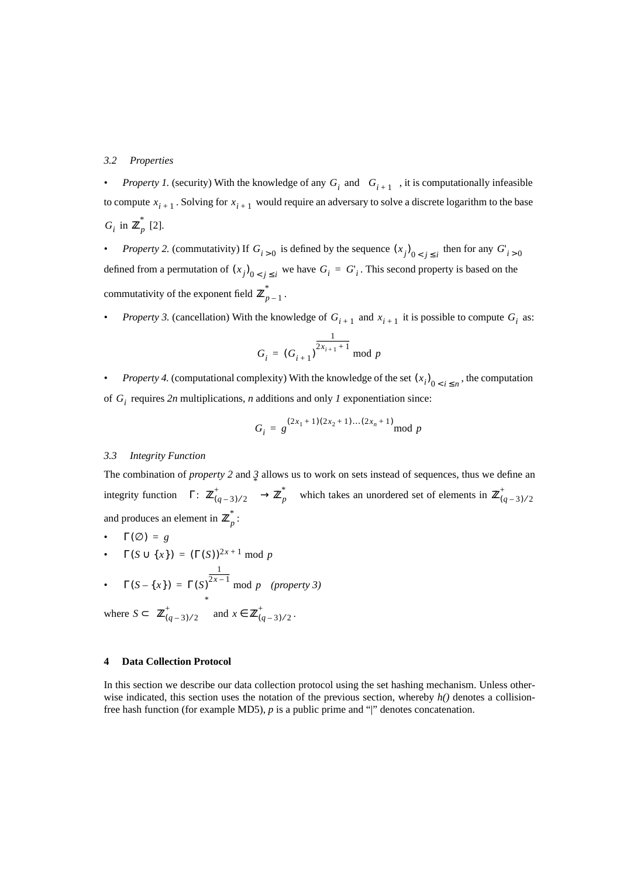### *3.2 Properties*

*• Property 1.* (security) With the knowledge of any  $G_i$  and  $G_{i+1}$ , it is computationally infeasible to compute  $x_{i+1}$ . Solving for  $x_{i+1}$  would require an adversary to solve a discrete logarithm to the base  $G_i$  in  $\mathbb{Z}_p^*$  [2].

• *Property 2.* (commutativity) If  $G_{i>0}$  is defined by the sequence  $(x_j)_{0 \le j \le i}$  then for any  $G'_{i>0}$ defined from a permutation of  $(x_j)_{0 \le j \le i}$  we have  $G_i = G_i$ . This second property is based on the commutativity of the exponent field  $\mathbf{Z}_{p-1}^*$ .

*• Property 3.* (cancellation) With the knowledge of  $G_{i+1}$  and  $x_{i+1}$  it is possible to compute  $G_i$  as:

$$
G_i = (G_{i+1})^{\frac{1}{2x_{i+1}+1}} \mod p
$$

*• Property 4.* (computational complexity) With the knowledge of the set  $(x_i)_{0 \le i \le n}$ , the computation of  $G_i$  requires 2*n* multiplications, *n* additions and only *1* exponentiation since:

$$
G_i = g^{(2x_1+1)(2x_2+1)...(2x_n+1)} \mod p
$$

### *3.3 Integrity Function*

The combination of *property 2* and *3* allows us to work on sets instead of sequences, thus we define an integrity function  $\Gamma: \Big\{ \mathbb{Z}_{(q-3)/2}^+ \Big\} \to \mathbb{Z}_p^*$  which takes an unordered set of elements in and produces an element in  $\mathbb{Z}_p^*$ :  $\left\{ \mathbf{Z}_{(q-3)/2}^+ \right\} \rightarrow \mathbf{Z}_p^*$  which takes an unordered set of elements in  $\mathbf{Z}_{(q-3)/2}^+$ 

•  $\Gamma(\emptyset) = g$ 

• 
$$
\Gamma(S \cup \{x\}) = (\Gamma(S))^{2x+1} \mod p
$$

• 
$$
\Gamma(S - \{x\}) = \Gamma(S)^{\frac{1}{2x-1}} \mod p
$$
 (property 3)

1

where 
$$
S \subset \left\{ \mathbf{Z}_{(q-3)/2}^+ \right\}^*
$$
 and  $x \in \mathbf{Z}_{(q-3)/2}^+$ .

# **4 Data Collection Protocol**

In this section we describe our data collection protocol using the set hashing mechanism. Unless otherwise indicated, this section uses the notation of the previous section, whereby *h()* denotes a collisionfree hash function (for example MD5), *p* is a public prime and "|" denotes concatenation.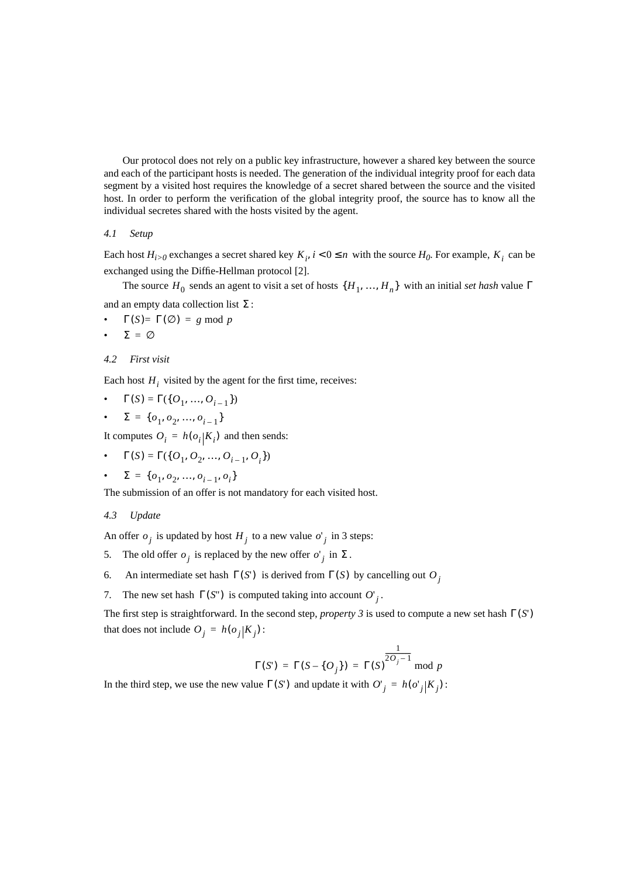Our protocol does not rely on a public key infrastructure, however a shared key between the source and each of the participant hosts is needed. The generation of the individual integrity proof for each data segment by a visited host requires the knowledge of a secret shared between the source and the visited host. In order to perform the verification of the global integrity proof, the source has to know all the individual secretes shared with the hosts visited by the agent.

# *4.1 Setup*

Each host  $H_{i>0}$  exchanges a secret shared key  $K_i$ ,  $i < 0 \le n$  with the source  $H_0$ . For example,  $K_i$  can be exchanged using the Diffie-Hellman protocol [2].

The source  $H_0$  sends an agent to visit a set of hosts  $\{H_1, ..., H_n\}$  with an initial *set hash* value  $\Gamma$ and an empty data collection list  $\Sigma$ :

- $\Gamma(S) = \Gamma(\emptyset) = g \mod p$
- $\Sigma = \emptyset$

### *4.2 First visit*

Each host  $H_i$  visited by the agent for the first time, receives:

$$
\bullet \quad \Gamma(S) = \Gamma(\{O_1, ..., O_{i-1}\})
$$

• 
$$
\Sigma = \{o_1, o_2, ..., o_{i-1}\}
$$

It computes  $O_i = h(o_i | K_i)$  and then sends:

•  $\Gamma(S) = \Gamma({O_1, O_2, ..., O_{i-1}, O_i})$ 

• 
$$
\Sigma = \{o_1, o_2, ..., o_{i-1}, o_i\}
$$

The submission of an offer is not mandatory for each visited host.

*4.3 Update*

An offer  $o_j$  is updated by host  $H_j$  to a new value  $o_j$  in 3 steps:

- 5. The old offer  $o_j$  is replaced by the new offer  $o_j$  in  $\Sigma$ .
- 6. An intermediate set hash  $\Gamma(S')$  is derived from  $\Gamma(S)$  by cancelling out  $O_j$
- 7. The new set hash  $\Gamma(S^{\prime\prime})$  is computed taking into account  $O^{\prime}$ .

The first step is straightforward. In the second step, *property* 3 is used to compute a new set hash  $\Gamma(S')$ that does not include  $O_j = h(o_j|K_j)$ :

$$
\Gamma(S') = \Gamma(S - \{O_j\}) = \Gamma(S)^{\frac{1}{2O_j - 1}} \mod p
$$

In the third step, we use the new value  $\Gamma(S')$  and update it with  $O'_{j} = h(o'_{j}|K_{j})$ :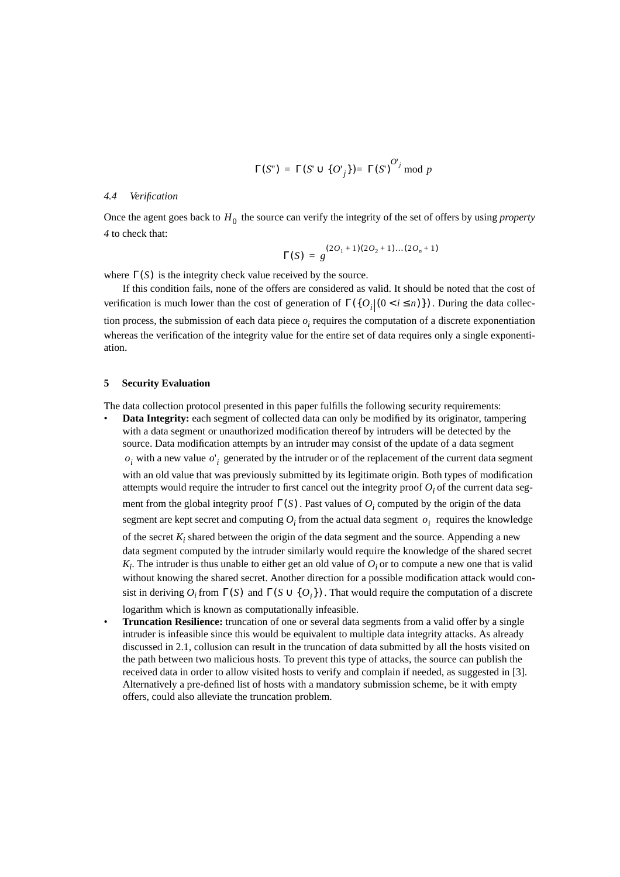$$
\Gamma(S^{\prime\prime}) = \Gamma(S^{\prime} \cup \{O^{\prime} _{j}\}) = \Gamma(S^{\prime})^{O^{\prime} _{j}} \mod p
$$

### *4.4 Verification*

Once the agent goes back to  $H_0$  the source can verify the integrity of the set of offers by using *property 4* to check that:

$$
\Gamma(S) = g^{(2O_1 + 1)(2O_2 + 1)\dots(2O_n + 1)}
$$

where  $\Gamma(S)$  is the integrity check value received by the source.

If this condition fails, none of the offers are considered as valid. It should be noted that the cost of verification is much lower than the cost of generation of  $\Gamma(\{O_i | (0 \lt i \le n)\})$ . During the data collection process, the submission of each data piece  $o_i$  requires the computation of a discrete exponentiation whereas the verification of the integrity value for the entire set of data requires only a single exponentiation.

## **5 Security Evaluation**

The data collection protocol presented in this paper fulfills the following security requirements:

- **Data Integrity:** each segment of collected data can only be modified by its originator, tampering with a data segment or unauthorized modification thereof by intruders will be detected by the source. Data modification attempts by an intruder may consist of the update of a data segment  $o_i$  with a new value  $o_i$  generated by the intruder or of the replacement of the current data segment with an old value that was previously submitted by its legitimate origin. Both types of modification attempts would require the intruder to first cancel out the integrity proof  $O_i$  of the current data segment from the global integrity proof  $\Gamma(S)$ . Past values of  $O_i$  computed by the origin of the data segment are kept secret and computing  $O_i$  from the actual data segment  $o_i$  requires the knowledge of the secret  $K_i$  shared between the origin of the data segment and the source. Appending a new data segment computed by the intruder similarly would require the knowledge of the shared secret  $K_i$ . The intruder is thus unable to either get an old value of  $O_i$  or to compute a new one that is valid without knowing the shared secret. Another direction for a possible modification attack would consist in deriving  $O_i$  from  $\Gamma(S)$  and  $\Gamma(S \cup \{O_i\})$ . That would require the computation of a discrete logarithm which is known as computationally infeasible.
- **Truncation Resilience:** truncation of one or several data segments from a valid offer by a single intruder is infeasible since this would be equivalent to multiple data integrity attacks. As already discussed in [2.1](#page-2-1), collusion can result in the truncation of data submitted by all the hosts visited on the path between two malicious hosts. To prevent this type of attacks, the source can publish the received data in order to allow visited hosts to verify and complain if needed, as suggested in [3]. Alternatively a pre-defined list of hosts with a mandatory submission scheme, be it with empty offers, could also alleviate the truncation problem.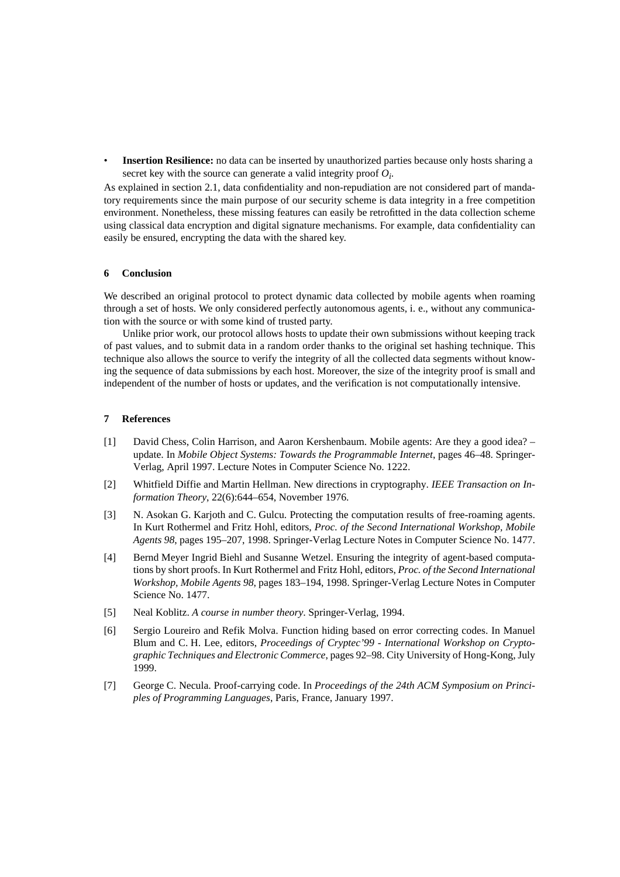**Insertion Resilience:** no data can be inserted by unauthorized parties because only hosts sharing a secret key with the source can generate a valid integrity proof  $O_i$ .

As explained in section 2.1, data confidentiality and non-repudiation are not considered part of mandatory requirements since the main purpose of our security scheme is data integrity in a free competition environment. Nonetheless, these missing features can easily be retrofitted in the data collection scheme using classical data encryption and digital signature mechanisms. For example, data confidentiality can easily be ensured, encrypting the data with the shared key.

# **6 Conclusion**

We described an original protocol to protect dynamic data collected by mobile agents when roaming through a set of hosts. We only considered perfectly autonomous agents, i. e., without any communication with the source or with some kind of trusted party.

Unlike prior work, our protocol allows hosts to update their own submissions without keeping track of past values, and to submit data in a random order thanks to the original set hashing technique. This technique also allows the source to verify the integrity of all the collected data segments without knowing the sequence of data submissions by each host. Moreover, the size of the integrity proof is small and independent of the number of hosts or updates, and the verification is not computationally intensive.

#### **7 References**

- [1] David Chess, Colin Harrison, and Aaron Kershenbaum. Mobile agents: Are they a good idea? update. In *Mobile Object Systems: Towards the Programmable Internet*, pages 46–48. Springer-Verlag, April 1997. Lecture Notes in Computer Science No. 1222.
- [2] Whitfield Diffie and Martin Hellman. New directions in cryptography. *IEEE Transaction on Information Theory*, 22(6):644–654, November 1976.
- [3] N. Asokan G. Karjoth and C. Gulcu. Protecting the computation results of free-roaming agents. In Kurt Rothermel and Fritz Hohl, editors, *Proc. of the Second International Workshop, Mobile Agents 98*, pages 195–207, 1998. Springer-Verlag Lecture Notes in Computer Science No. 1477.
- [4] Bernd Meyer Ingrid Biehl and Susanne Wetzel. Ensuring the integrity of agent-based computations by short proofs. In Kurt Rothermel and Fritz Hohl, editors, *Proc. of the Second International Workshop, Mobile Agents 98*, pages 183–194, 1998. Springer-Verlag Lecture Notes in Computer Science No. 1477.
- [5] Neal Koblitz. *A course in number theory*. Springer-Verlag, 1994.
- [6] Sergio Loureiro and Refik Molva. Function hiding based on error correcting codes. In Manuel Blum and C. H. Lee, editors, *Proceedings of Cryptec'99 - International Workshop on Cryptographic Techniques and Electronic Commerce*, pages 92–98. City University of Hong-Kong, July 1999.
- [7] George C. Necula. Proof-carrying code. In *Proceedings of the 24th ACM Symposium on Principles of Programming Languages*, Paris, France, January 1997.